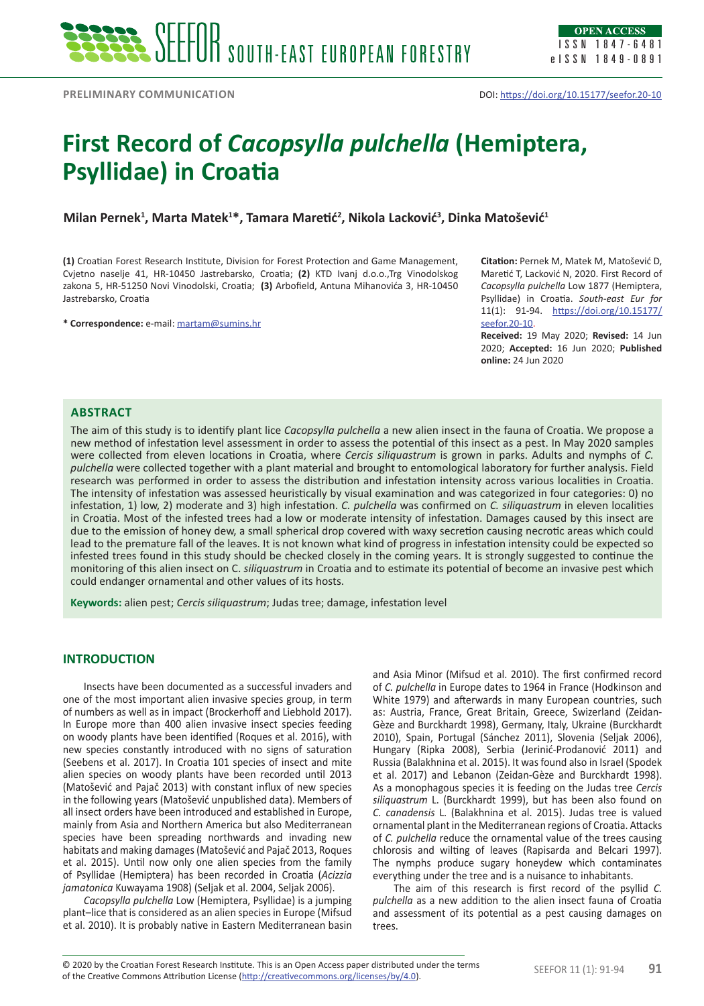# **First Record of** *Cacopsylla pulchella* **(Hemiptera, Psyllidae) in Croatia**

# **Milan Pernek1 , Marta Matek1 \*, Tamara Maretić<sup>2</sup> , Nikola Lacković<sup>3</sup> , Dinka Matošević<sup>1</sup>**

**(1)** Croatian Forest Research Institute, Division for Forest Protection and Game Management, Cvjetno naselje 41, HR-10450 Jastrebarsko, Croatia; **(2)** KTD Ivanj d.o.o.,Trg Vinodolskog zakona 5, HR-51250 Novi Vinodolski, Croatia; **(3)** Arbofield, Antuna Mihanovića 3, HR-10450 Jastrebarsko, Croatia

**\* Correspondence:** e-mail: [martam@sumins.hr](mailto:martam@sumins.hr)

**Citation:** Pernek M, Matek M, Matošević D, Maretić T, Lacković N, 2020. First Record of *Cacopsylla pulchella* Low 1877 (Hemiptera, Psyllidae) in Croatia. *South-east Eur for* 11(1): 91-94. [https://doi.org/10.15177/](https://doi.org/10.15177/seefor.20-10) [seefor.20-10](https://doi.org/10.15177/seefor.20-10).

**Received:** 19 May 2020; **Revised:** 14 Jun 2020; **Accepted:** 16 Jun 2020; **Published online:** 24 Jun 2020

# **Abstract**

The aim of this study is to identify plant lice *Cacopsylla pulchella* a new alien insect in the fauna of Croatia. We propose a new method of infestation level assessment in order to assess the potential of this insect as a pest. In May 2020 samples were collected from eleven locations in Croatia, where *Cercis siliquastrum* is grown in parks. Adults and nymphs of *C. pulchella* were collected together with a plant material and brought to entomological laboratory for further analysis. Field research was performed in order to assess the distribution and infestation intensity across various localities in Croatia. The intensity of infestation was assessed heuristically by visual examination and was categorized in four categories: 0) no infestation, 1) low, 2) moderate and 3) high infestation. *C. pulchella* was confirmed on *C. siliquastrum* in eleven localities in Croatia. Most of the infested trees had a low or moderate intensity of infestation. Damages caused by this insect are due to the emission of honey dew, a small spherical drop covered with waxy secretion causing necrotic areas which could lead to the premature fall of the leaves. It is not known what kind of progress in infestation intensity could be expected so infested trees found in this study should be checked closely in the coming years. It is strongly suggested to continue the monitoring of this alien insect on C. *siliquastrum* in Croatia and to estimate its potential of become an invasive pest which could endanger ornamental and other values of its hosts.

**Keywords:** alien pest; *Cercis siliquastrum*; Judas tree; damage, infestation level

## **INTRODUCTION**

Insects have been documented as a successful invaders and one of the most important alien invasive species group, in term of numbers as well as in impact (Brockerhoff and Liebhold 2017). In Europe more than 400 alien invasive insect species feeding on woody plants have been identified (Roques et al. 2016), with new species constantly introduced with no signs of saturation (Seebens et al. 2017). In Croatia 101 species of insect and mite alien species on woody plants have been recorded until 2013 (Matošević and Pajač 2013) with constant influx of new species in the following years (Matošević unpublished data). Members of all insect orders have been introduced and established in Europe, mainly from Asia and Northern America but also Mediterranean species have been spreading northwards and invading new habitats and making damages (Matošević and Pajač 2013, Roques et al. 2015). Until now only one alien species from the family of Psyllidae (Hemiptera) has been recorded in Croatia (*Acizzia jamatonica* Kuwayama 1908) (Seljak et al. 2004, Seljak 2006).

*Cacopsylla pulchella* Low (Hemiptera, Psyllidae) is a jumping plant–lice that is considered as an alien species in Europe (Mifsud et al. 2010). It is probably native in Eastern Mediterranean basin

and Asia Minor (Mifsud et al. 2010). The first confirmed record of *C. pulchella* in Europe dates to 1964 in France (Hodkinson and White 1979) and afterwards in many European countries, such as: Austria, France, Great Britain, Greece, Swizerland (Zeidan-Gèze and Burckhardt 1998), Germany, Italy, Ukraine (Burckhardt 2010), Spain, Portugal (Sánchez 2011), Slovenia (Seljak 2006), Hungary (Ripka 2008), Serbia (Jerinić-Prodanović 2011) and Russia (Balakhnina et al. 2015). It was found also in Israel (Spodek et al. 2017) and Lebanon (Zeidan-Gèze and Burckhardt 1998). As a monophagous species it is feeding on the Judas tree *Cercis siliquastrum* L. (Burckhardt 1999), but has been also found on *C. canadensis* L. (Balakhnina et al. 2015). Judas tree is valued ornamental plant in the Mediterranean regions of Croatia. Attacks of *C. pulchella* reduce the ornamental value of the trees causing chlorosis and wilting of leaves (Rapisarda and Belcari 1997). The nymphs produce sugary honeydew which contaminates everything under the tree and is a nuisance to inhabitants.

The aim of this research is first record of the psyllid *C. pulchella* as a new addition to the alien insect fauna of Croatia and assessment of its potential as a pest causing damages on trees.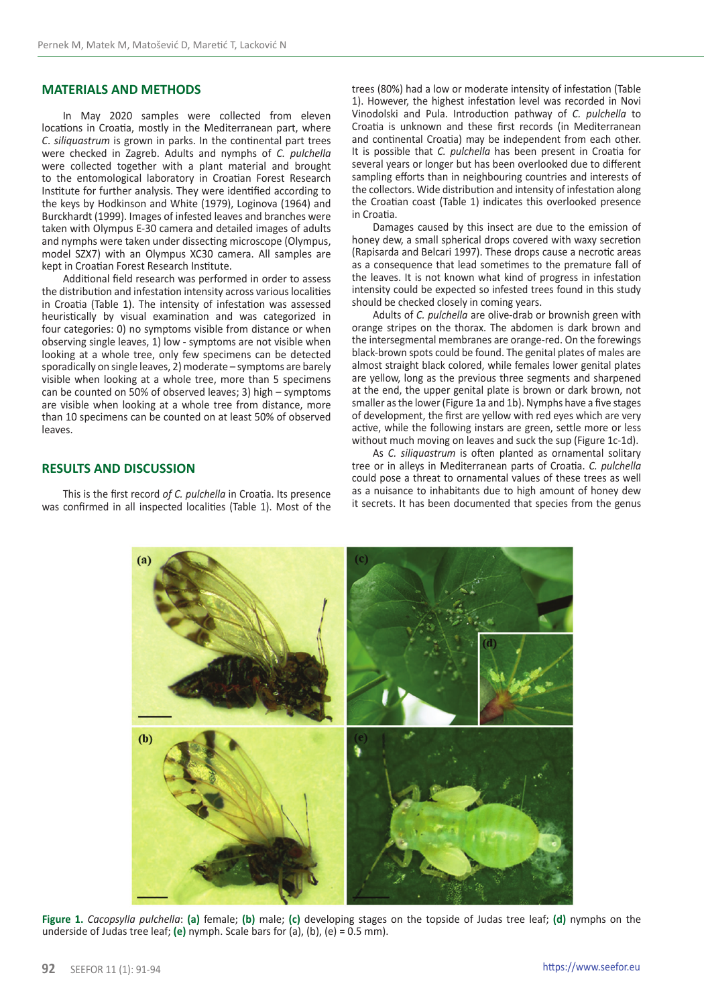# **MATERIALS AND METHODS**

In May 2020 samples were collected from eleven locations in Croatia, mostly in the Mediterranean part, where *C*. *siliquastrum* is grown in parks. In the continental part trees were checked in Zagreb. Adults and nymphs of *C. pulchella* were collected together with a plant material and brought to the entomological laboratory in Croatian Forest Research Institute for further analysis. They were identified according to the keys by Hodkinson and White (1979), Loginova (1964) and Burckhardt (1999). Images of infested leaves and branches were taken with Olympus E-30 camera and detailed images of adults and nymphs were taken under dissecting microscope (Olympus, model SZX7) with an Olympus XC30 camera. All samples are kept in Croatian Forest Research Institute.

Additional field research was performed in order to assess the distribution and infestation intensity across various localities in Croatia (Table 1). The intensity of infestation was assessed heuristically by visual examination and was categorized in four categories: 0) no symptoms visible from distance or when observing single leaves, 1) low - symptoms are not visible when looking at a whole tree, only few specimens can be detected sporadically on single leaves, 2) moderate – symptoms are barely visible when looking at a whole tree, more than 5 specimens can be counted on 50% of observed leaves; 3) high – symptoms are visible when looking at a whole tree from distance, more than 10 specimens can be counted on at least 50% of observed leaves.

**RESULTS AND DISCUSSION**

This is the first record *of C. pulchella* in Croatia. Its presence was confirmed in all inspected localities (Table 1). Most of the trees (80%) had a low or moderate intensity of infestation (Table 1). However, the highest infestation level was recorded in Novi Vinodolski and Pula. Introduction pathway of *C. pulchella* to Croatia is unknown and these first records (in Mediterranean and continental Croatia) may be independent from each other. It is possible that *C. pulchella* has been present in Croatia for several years or longer but has been overlooked due to different sampling efforts than in neighbouring countries and interests of the collectors. Wide distribution and intensity of infestation along the Croatian coast (Table 1) indicates this overlooked presence in Croatia.

Damages caused by this insect are due to the emission of honey dew, a small spherical drops covered with waxy secretion (Rapisarda and Belcari 1997). These drops cause a necrotic areas as a consequence that lead sometimes to the premature fall of the leaves. It is not known what kind of progress in infestation intensity could be expected so infested trees found in this study should be checked closely in coming years.

Adults of *C. pulchella* are olive-drab or brownish green with orange stripes on the thorax. The abdomen is dark brown and the intersegmental membranes are orange-red. On the forewings black-brown spots could be found. The genital plates of males are almost straight black colored, while females lower genital plates are yellow, long as the previous three segments and sharpened at the end, the upper genital plate is brown or dark brown, not smaller as the lower (Figure 1a and 1b). Nymphs have a five stages of development, the first are yellow with red eyes which are very active, while the following instars are green, settle more or less without much moving on leaves and suck the sup (Figure 1c-1d).

As *C. siliquastrum* is often planted as ornamental solitary tree or in alleys in Mediterranean parts of Croatia. *C. pulchella*  could pose a threat to ornamental values of these trees as well as a nuisance to inhabitants due to high amount of honey dew it secrets. It has been documented that species from the genus



**Figure 1.** *Cacopsylla pulchella*: **(a)** female; **(b)** male; **(c)** developing stages on the topside of Judas tree leaf; **(d)** nymphs on the underside of Judas tree leaf; **(e)** nymph. Scale bars for (a), (b), (e) = 0.5 mm).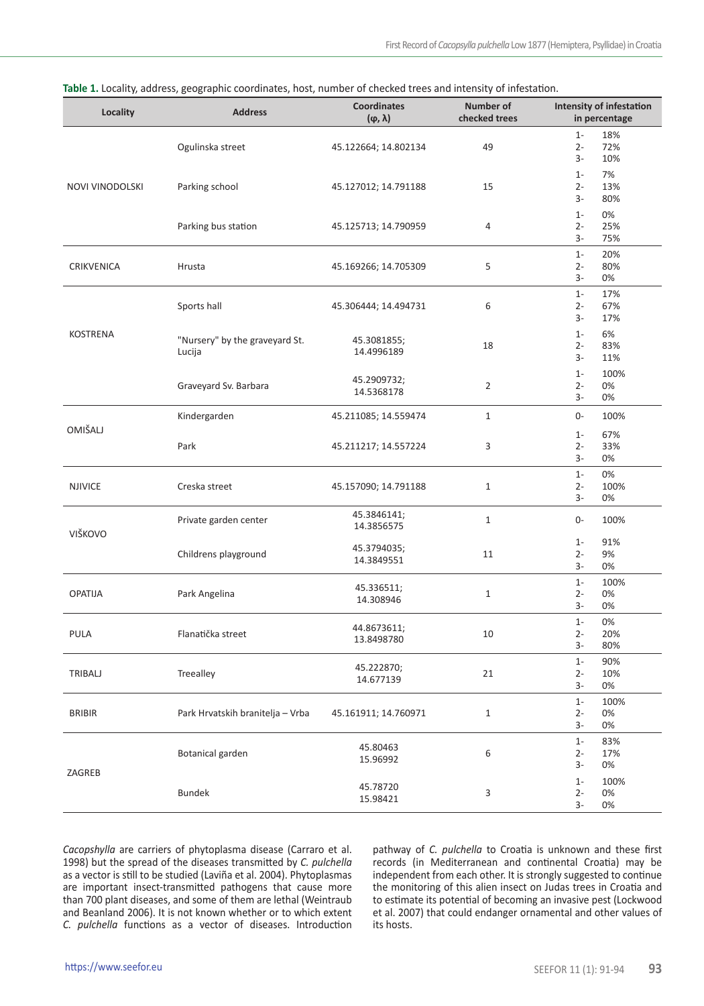| Locality        | <b>Address</b>                           | <b>Coordinates</b><br>$(\varphi, \lambda)$ | Number of<br>checked trees | Intensity of infestation<br>in percentage   |
|-----------------|------------------------------------------|--------------------------------------------|----------------------------|---------------------------------------------|
| NOVI VINODOLSKI | Ogulinska street                         | 45.122664; 14.802134                       | 49                         | $1 -$<br>18%<br>$2 -$<br>72%<br>10%<br>$3-$ |
|                 | Parking school                           | 45.127012; 14.791188                       | 15                         | $1 -$<br>7%<br>$2 -$<br>13%<br>80%<br>3-    |
|                 | Parking bus station                      | 45.125713; 14.790959                       | 4                          | $1 -$<br>0%<br>$2 -$<br>25%<br>75%<br>3-    |
| CRIKVENICA      | Hrusta                                   | 45.169266; 14.705309                       | 5                          | $1 -$<br>20%<br>80%<br>$2 -$<br>3-<br>0%    |
| <b>KOSTRENA</b> | Sports hall                              | 45.306444; 14.494731                       | 6                          | $1 -$<br>17%<br>$2 -$<br>67%<br>3-<br>17%   |
|                 | "Nursery" by the graveyard St.<br>Lucija | 45.3081855;<br>14.4996189                  | 18                         | 6%<br>$1 -$<br>83%<br>$2 -$<br>3-<br>11%    |
|                 | Graveyard Sv. Barbara                    | 45.2909732;<br>14.5368178                  | $\overline{2}$             | 100%<br>$1 -$<br>$2 -$<br>0%<br>0%<br>3-    |
| <b>OMIŠALJ</b>  | Kindergarden                             | 45.211085; 14.559474                       | $\mathbf{1}$               | $0-$<br>100%                                |
|                 | Park                                     | 45.211217; 14.557224                       | 3                          | $1 -$<br>67%<br>$2 -$<br>33%<br>3-<br>0%    |
| <b>NJIVICE</b>  | Creska street                            | 45.157090; 14.791188                       | $\mathbf{1}$               | $1-$<br>0%<br>$2 -$<br>100%<br>3-<br>0%     |
| VIŠKOVO         | Private garden center                    | 45.3846141;<br>14.3856575                  | $\mathbf{1}$               | 0-<br>100%                                  |
|                 | Childrens playground                     | 45.3794035;<br>14.3849551                  | 11                         | 91%<br>$1 -$<br>9%<br>2-<br>0%<br>3-        |
| <b>OPATIJA</b>  | Park Angelina                            | 45.336511;<br>14.308946                    | $\mathbf 1$                | $1-$<br>100%<br>0%<br>$2 -$<br>3-<br>0%     |
| <b>PULA</b>     | Flanatička street                        | 44.8673611;<br>13.8498780                  | 10                         | $1 -$<br>0%<br>$2 -$<br>20%<br>3-<br>80%    |
| TRIBALJ         | Treealley                                | 45.222870;<br>14.677139                    | 21                         | $1 -$<br>90%<br>$2 -$<br>10%<br>$3-$<br>0%  |
| <b>BRIBIR</b>   | Park Hrvatskih branitelja - Vrba         | 45.161911; 14.760971                       | $\mathbf{1}$               | $1 -$<br>100%<br>$2 -$<br>0%<br>0%<br>3-    |
| ZAGREB          | Botanical garden                         | 45.80463<br>15.96992                       | 6                          | $1 -$<br>83%<br>17%<br>$2 -$<br>3-<br>0%    |
|                 | <b>Bundek</b>                            | 45.78720<br>15.98421                       | 3                          | $1 -$<br>100%<br>$2 -$<br>0%<br>0%<br>3-    |

**Table 1.** Locality, address, geographic coordinates, host, number of checked trees and intensity of infestation.

*Cacopshylla* are carriers of phytoplasma disease (Carraro et al. 1998) but the spread of the diseases transmitted by *C. pulchella* as a vector is still to be studied (Laviña et al. 2004). Phytoplasmas are important insect-transmitted pathogens that cause more than 700 plant diseases, and some of them are lethal (Weintraub and Beanland 2006). It is not known whether or to which extent *C. pulchella* functions as a vector of diseases. Introduction

pathway of *C. pulchella* to Croatia is unknown and these first records (in Mediterranean and continental Croatia) may be independent from each other. It is strongly suggested to continue the monitoring of this alien insect on Judas trees in Croatia and to estimate its potential of becoming an invasive pest (Lockwood et al. 2007) that could endanger ornamental and other values of its hosts.